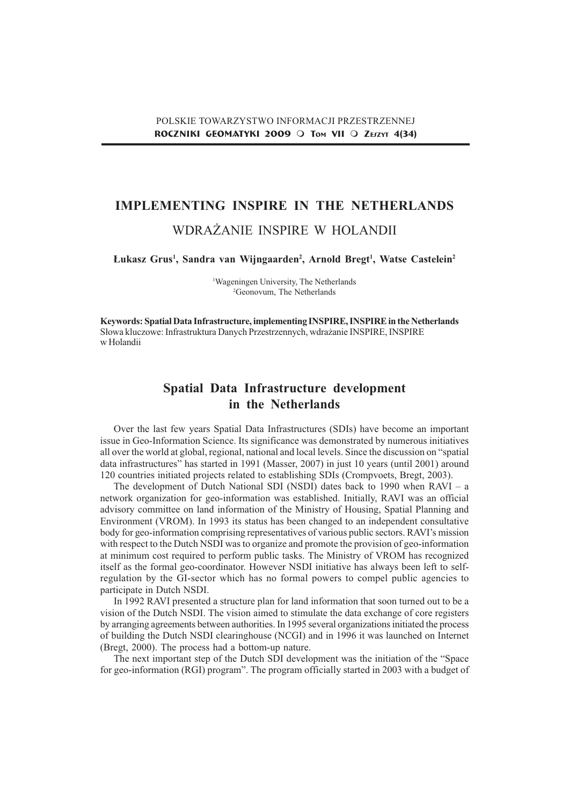# IMPLEMENTING INSPIRE IN THE NETHERLANDS

## WDRAŻANIE INSPIRE W HOLANDII

Łukasz Grus<sup>1</sup>, Sandra van Wijngaarden<sup>2</sup>, Arnold Bregt<sup>1</sup>, Watse Castelein<sup>2</sup>

1 Wageningen University, The Netherlands 2 Geonovum, The Netherlands

Keywords: Spatial Data Infrastructure, implementing INSPIRE, INSPIRE in the Netherlands Słowa kluczowe: Infrastruktura Danych Przestrzennych, wdrażanie INSPIRE, INSPIRE w Holandii

# Spatial Data Infrastructure development in the Netherlands

Over the last few years Spatial Data Infrastructures (SDIs) have become an important issue in Geo-Information Science. Its significance was demonstrated by numerous initiatives all over the world at global, regional, national and local levels. Since the discussion on "spatial" data infrastructures" has started in 1991 (Masser, 2007) in just 10 years (until 2001) around 120 countries initiated projects related to establishing SDIs (Crompvoets, Bregt, 2003).

The development of Dutch National SDI (NSDI) dates back to 1990 when  $RAVI - a$ network organization for geo-information was established. Initially, RAVI was an official advisory committee on land information of the Ministry of Housing, Spatial Planning and Environment (VROM). In 1993 its status has been changed to an independent consultative body for geo-information comprising representatives of various public sectors. RAVIs mission with respect to the Dutch NSDI was to organize and promote the provision of geo-information at minimum cost required to perform public tasks. The Ministry of VROM has recognized itself as the formal geo-coordinator. However NSDI initiative has always been left to selfregulation by the GI-sector which has no formal powers to compel public agencies to participate in Dutch NSDI.

In 1992 RAVI presented a structure plan for land information that soon turned out to be a vision of the Dutch NSDI. The vision aimed to stimulate the data exchange of core registers by arranging agreements between authorities. In 1995 several organizations initiated the process of building the Dutch NSDI clearinghouse (NCGI) and in 1996 it was launched on Internet (Bregt, 2000). The process had a bottom-up nature.

The next important step of the Dutch SDI development was the initiation of the "Space" for geo-information (RGI) program". The program officially started in 2003 with a budget of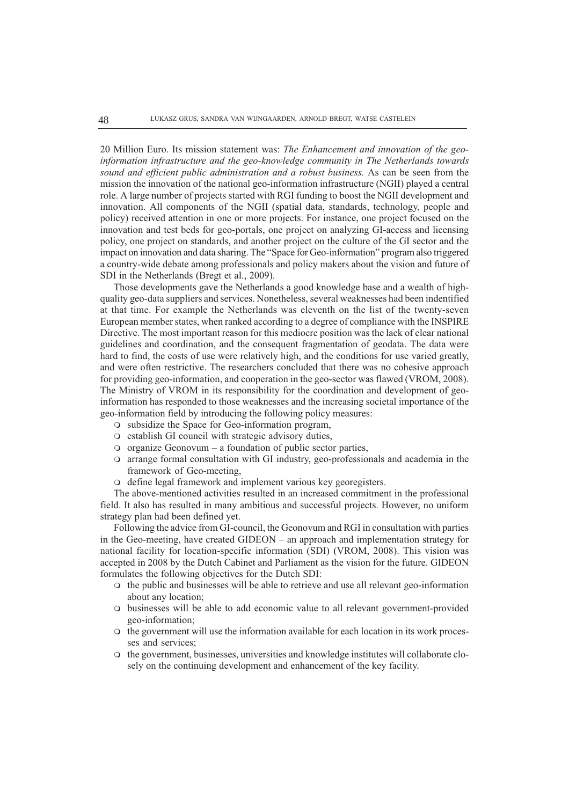20 Million Euro. Its mission statement was: The Enhancement and innovation of the geoinformation infrastructure and the geo-knowledge community in The Netherlands towards sound and efficient public administration and a robust business. As can be seen from the mission the innovation of the national geo-information infrastructure (NGII) played a central role. A large number of projects started with RGI funding to boost the NGII development and innovation. All components of the NGII (spatial data, standards, technology, people and policy) received attention in one or more projects. For instance, one project focused on the innovation and test beds for geo-portals, one project on analyzing GI-access and licensing policy, one project on standards, and another project on the culture of the GI sector and the impact on innovation and data sharing. The "Space for Geo-information" program also triggered a country-wide debate among professionals and policy makers about the vision and future of SDI in the Netherlands (Bregt et al., 2009).

Those developments gave the Netherlands a good knowledge base and a wealth of highquality geo-data suppliers and services. Nonetheless, several weaknesses had been indentified at that time. For example the Netherlands was eleventh on the list of the twenty-seven European member states, when ranked according to a degree of compliance with the INSPIRE Directive. The most important reason for this mediocre position was the lack of clear national guidelines and coordination, and the consequent fragmentation of geodata. The data were hard to find, the costs of use were relatively high, and the conditions for use varied greatly, and were often restrictive. The researchers concluded that there was no cohesive approach for providing geo-information, and cooperation in the geo-sector was flawed (VROM, 2008). The Ministry of VROM in its responsibility for the coordination and development of geoinformation has responded to those weaknesses and the increasing societal importance of the geo-information field by introducing the following policy measures:

- $\circ$  subsidize the Space for Geo-information program,
- $\circ$  establish GI council with strategic advisory duties,
- $\circ$  organize Geonovum a foundation of public sector parties,
- $\circ$  arrange formal consultation with GI industry, geo-professionals and academia in the framework of Geo-meeting,
- $\circ$  define legal framework and implement various key georegisters.

The above-mentioned activities resulted in an increased commitment in the professional field. It also has resulted in many ambitious and successful projects. However, no uniform strategy plan had been defined yet.

Following the advice from GI-council, the Geonovum and RGI in consultation with parties in the Geo-meeting, have created  $GIDEON - an$  approach and implementation strategy for national facility for location-specific information (SDI) (VROM, 2008). This vision was accepted in 2008 by the Dutch Cabinet and Parliament as the vision for the future. GIDEON formulates the following objectives for the Dutch SDI:

- $\circ$  the public and businesses will be able to retrieve and use all relevant geo-information about any location;
- m businesses will be able to add economic value to all relevant government-provided geo-information;
- $\circ$  the government will use the information available for each location in its work processes and services;
- m the government, businesses, universities and knowledge institutes will collaborate closely on the continuing development and enhancement of the key facility.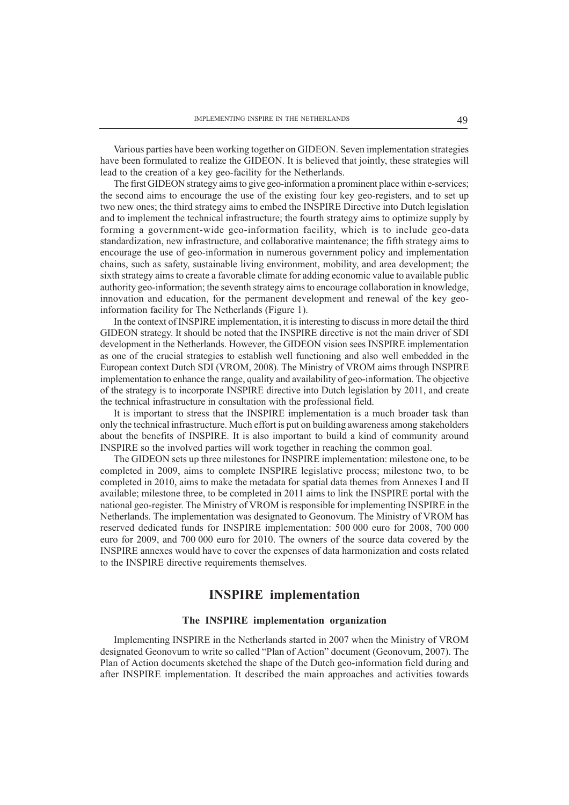Various parties have been working together on GIDEON. Seven implementation strategies have been formulated to realize the GIDEON. It is believed that jointly, these strategies will lead to the creation of a key geo-facility for the Netherlands.

The first GIDEON strategy aims to give geo-information a prominent place within e-services; the second aims to encourage the use of the existing four key geo-registers, and to set up two new ones; the third strategy aims to embed the INSPIRE Directive into Dutch legislation and to implement the technical infrastructure; the fourth strategy aims to optimize supply by forming a government-wide geo-information facility, which is to include geo-data standardization, new infrastructure, and collaborative maintenance; the fifth strategy aims to encourage the use of geo-information in numerous government policy and implementation chains, such as safety, sustainable living environment, mobility, and area development; the sixth strategy aims to create a favorable climate for adding economic value to available public authority geo-information; the seventh strategy aims to encourage collaboration in knowledge, innovation and education, for the permanent development and renewal of the key geoinformation facility for The Netherlands (Figure 1).

In the context of INSPIRE implementation, it is interesting to discuss in more detail the third GIDEON strategy. It should be noted that the INSPIRE directive is not the main driver of SDI development in the Netherlands. However, the GIDEON vision sees INSPIRE implementation as one of the crucial strategies to establish well functioning and also well embedded in the European context Dutch SDI (VROM, 2008). The Ministry of VROM aims through INSPIRE implementation to enhance the range, quality and availability of geo-information. The objective of the strategy is to incorporate INSPIRE directive into Dutch legislation by 2011, and create the technical infrastructure in consultation with the professional field.

It is important to stress that the INSPIRE implementation is a much broader task than only the technical infrastructure. Much effort is put on building awareness among stakeholders about the benefits of INSPIRE. It is also important to build a kind of community around INSPIRE so the involved parties will work together in reaching the common goal.

The GIDEON sets up three milestones for INSPIRE implementation: milestone one, to be completed in 2009, aims to complete INSPIRE legislative process; milestone two, to be completed in 2010, aims to make the metadata for spatial data themes from Annexes I and II available; milestone three, to be completed in 2011 aims to link the INSPIRE portal with the national geo-register. The Ministry of VROM is responsible for implementing INSPIRE in the Netherlands. The implementation was designated to Geonovum. The Ministry of VROM has reserved dedicated funds for INSPIRE implementation: 500 000 euro for 2008, 700 000 euro for 2009, and 700 000 euro for 2010. The owners of the source data covered by the INSPIRE annexes would have to cover the expenses of data harmonization and costs related to the INSPIRE directive requirements themselves.

## INSPIRE implementation

#### The INSPIRE implementation organization

Implementing INSPIRE in the Netherlands started in 2007 when the Ministry of VROM designated Geonovum to write so called "Plan of Action" document (Geonovum, 2007). The Plan of Action documents sketched the shape of the Dutch geo-information field during and after INSPIRE implementation. It described the main approaches and activities towards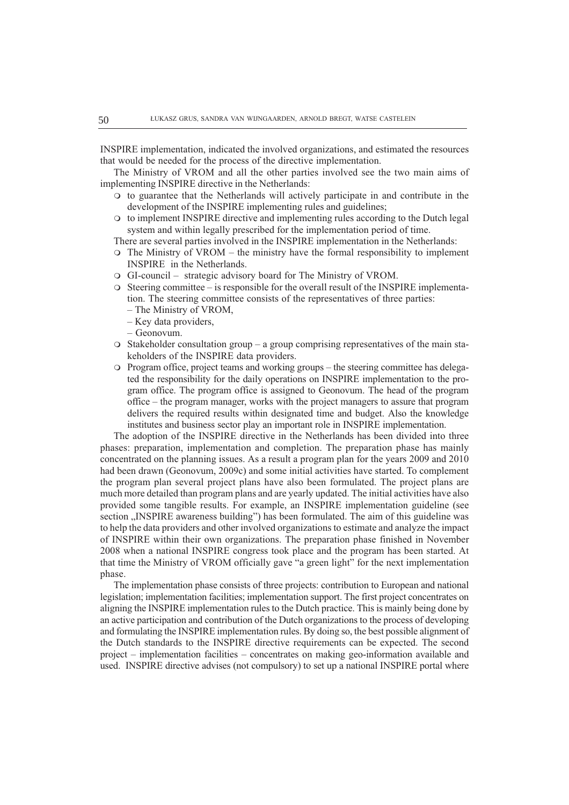INSPIRE implementation, indicated the involved organizations, and estimated the resources that would be needed for the process of the directive implementation.

The Ministry of VROM and all the other parties involved see the two main aims of implementing INSPIRE directive in the Netherlands:

- m to guarantee that the Netherlands will actively participate in and contribute in the development of the INSPIRE implementing rules and guidelines;
- m to implement INSPIRE directive and implementing rules according to the Dutch legal system and within legally prescribed for the implementation period of time.

There are several parties involved in the INSPIRE implementation in the Netherlands:

- $\circ$  The Ministry of VROM the ministry have the formal responsibility to implement INSPIRE in the Netherlands.
- $\Omega$  GI-council strategic advisory board for The Ministry of VROM.
- $\circ$  Steering committee is responsible for the overall result of the INSPIRE implementation. The steering committee consists of the representatives of three parties:
	- The Ministry of VROM,
	- $-Key$  data providers,
	- Geonovum.
- $\circ$  Stakeholder consultation group a group comprising representatives of the main stakeholders of the INSPIRE data providers.
- $\circ$  Program office, project teams and working groups the steering committee has delegated the responsibility for the daily operations on INSPIRE implementation to the program office. The program office is assigned to Geonovum. The head of the program office the program manager, works with the project managers to assure that program delivers the required results within designated time and budget. Also the knowledge institutes and business sector play an important role in INSPIRE implementation.

The adoption of the INSPIRE directive in the Netherlands has been divided into three phases: preparation, implementation and completion. The preparation phase has mainly concentrated on the planning issues. As a result a program plan for the years 2009 and 2010 had been drawn (Geonovum, 2009c) and some initial activities have started. To complement the program plan several project plans have also been formulated. The project plans are much more detailed than program plans and are yearly updated. The initial activities have also provided some tangible results. For example, an INSPIRE implementation guideline (see section "INSPIRE awareness building") has been formulated. The aim of this guideline was to help the data providers and other involved organizations to estimate and analyze the impact of INSPIRE within their own organizations. The preparation phase finished in November 2008 when a national INSPIRE congress took place and the program has been started. At that time the Ministry of VROM officially gave "a green light" for the next implementation phase.

The implementation phase consists of three projects: contribution to European and national legislation; implementation facilities; implementation support. The first project concentrates on aligning the INSPIRE implementation rules to the Dutch practice. This is mainly being done by an active participation and contribution of the Dutch organizations to the process of developing and formulating the INSPIRE implementation rules. By doing so, the best possible alignment of the Dutch standards to the INSPIRE directive requirements can be expected. The second project  $-$  implementation facilities  $-$  concentrates on making geo-information available and used. INSPIRE directive advises (not compulsory) to set up a national INSPIRE portal where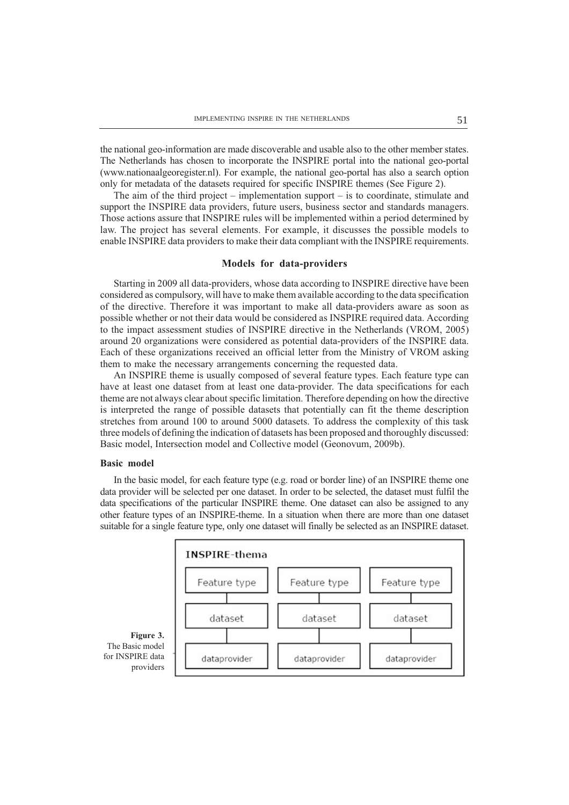the national geo-information are made discoverable and usable also to the other member states. The Netherlands has chosen to incorporate the INSPIRE portal into the national geo-portal (www.nationaalgeoregister.nl). For example, the national geo-portal has also a search option only for metadata of the datasets required for specific INSPIRE themes (See Figure 2).

The aim of the third project  $-$  implementation support  $-$  is to coordinate, stimulate and support the INSPIRE data providers, future users, business sector and standards managers. Those actions assure that INSPIRE rules will be implemented within a period determined by law. The project has several elements. For example, it discusses the possible models to enable INSPIRE data providers to make their data compliant with the INSPIRE requirements.

#### Models for data-providers

Starting in 2009 all data-providers, whose data according to INSPIRE directive have been considered as compulsory, will have to make them available according to the data specification of the directive. Therefore it was important to make all data-providers aware as soon as possible whether or not their data would be considered as INSPIRE required data. According to the impact assessment studies of INSPIRE directive in the Netherlands (VROM, 2005) around 20 organizations were considered as potential data-providers of the INSPIRE data. Each of these organizations received an official letter from the Ministry of VROM asking them to make the necessary arrangements concerning the requested data.

An INSPIRE theme is usually composed of several feature types. Each feature type can have at least one dataset from at least one data-provider. The data specifications for each theme are not always clear about specific limitation. Therefore depending on how the directive is interpreted the range of possible datasets that potentially can fit the theme description stretches from around 100 to around 5000 datasets. To address the complexity of this task three models of defining the indication of datasets has been proposed and thoroughly discussed: Basic model, Intersection model and Collective model (Geonovum, 2009b).

#### Basic model

In the basic model, for each feature type (e.g. road or border line) of an INSPIRE theme one data provider will be selected per one dataset. In order to be selected, the dataset must fulfil the data specifications of the particular INSPIRE theme. One dataset can also be assigned to any other feature types of an INSPIRE-theme. In a situation when there are more than one dataset suitable for a single feature type, only one dataset will finally be selected as an INSPIRE dataset.

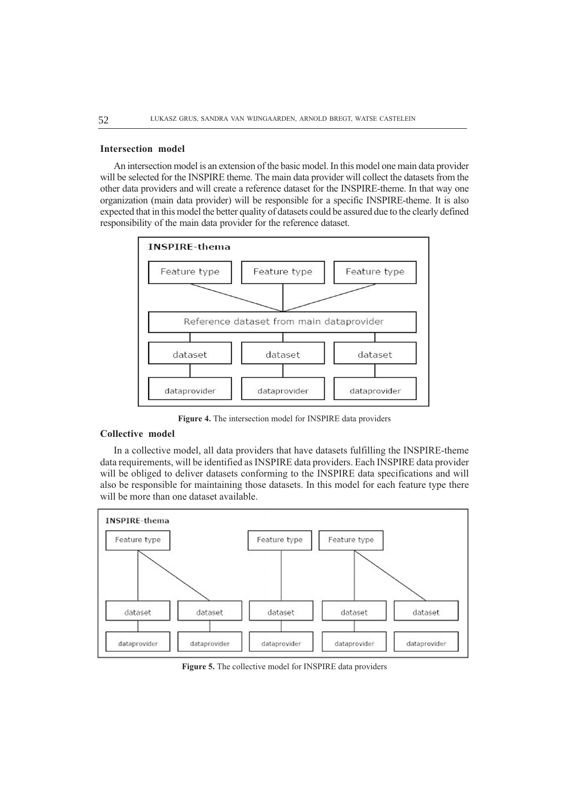#### Intersection model

An intersection model is an extension of the basic model. In this model one main data provider will be selected for the INSPIRE theme. The main data provider will collect the datasets from the other data providers and will create a reference dataset for the INSPIRE-theme. In that way one organization (main data provider) will be responsible for a specific INSPIRE-theme. It is also expected that in this model the better quality of datasets could be assured due to the clearly defined responsibility of the main data provider for the reference dataset.



Figure 4. The intersection model for INSPIRE data providers

#### Collective model

In a collective model, all data providers that have datasets fulfilling the INSPIRE-theme data requirements, will be identified as INSPIRE data providers. Each INSPIRE data provider will be obliged to deliver datasets conforming to the INSPIRE data specifications and will also be responsible for maintaining those datasets. In this model for each feature type there will be more than one dataset available.

![](_page_5_Figure_7.jpeg)

Figure 5. The collective model for INSPIRE data providers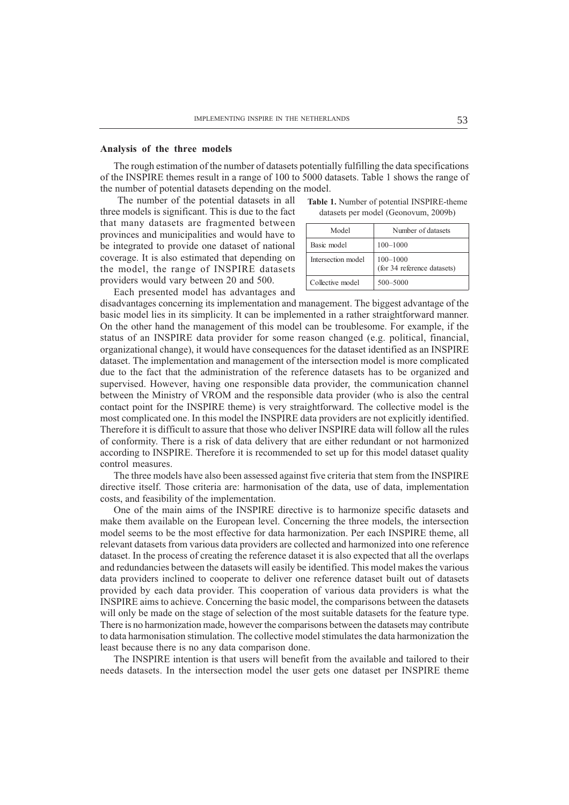#### Analysis of the three models

The rough estimation of the number of datasets potentially fulfilling the data specifications of the INSPIRE themes result in a range of 100 to 5000 datasets. Table 1 shows the range of the number of potential datasets depending on the model.

 The number of the potential datasets in all three models is significant. This is due to the fact that many datasets are fragmented between provinces and municipalities and would have to be integrated to provide one dataset of national coverage. It is also estimated that depending on the model, the range of INSPIRE datasets providers would vary between 20 and 500.

Each presented model has advantages and

Table 1. Number of potential INSPIRE-theme datasets per model (Geonovum, 2009b)

| Model              | Number of datasets                          |
|--------------------|---------------------------------------------|
| Basic model        | $100 - 1000$                                |
| Intersection model | $100 - 1000$<br>(for 34 reference datasets) |
| Collective model   | 500-5000                                    |

disadvantages concerning its implementation and management. The biggest advantage of the basic model lies in its simplicity. It can be implemented in a rather straightforward manner. On the other hand the management of this model can be troublesome. For example, if the status of an INSPIRE data provider for some reason changed (e.g. political, financial, organizational change), it would have consequences for the dataset identified as an INSPIRE dataset. The implementation and management of the intersection model is more complicated due to the fact that the administration of the reference datasets has to be organized and supervised. However, having one responsible data provider, the communication channel between the Ministry of VROM and the responsible data provider (who is also the central contact point for the INSPIRE theme) is very straightforward. The collective model is the most complicated one. In this model the INSPIRE data providers are not explicitly identified. Therefore it is difficult to assure that those who deliver INSPIRE data will follow all the rules of conformity. There is a risk of data delivery that are either redundant or not harmonized according to INSPIRE. Therefore it is recommended to set up for this model dataset quality control measures.

The three models have also been assessed against five criteria that stem from the INSPIRE directive itself. Those criteria are: harmonisation of the data, use of data, implementation costs, and feasibility of the implementation.

One of the main aims of the INSPIRE directive is to harmonize specific datasets and make them available on the European level. Concerning the three models, the intersection model seems to be the most effective for data harmonization. Per each INSPIRE theme, all relevant datasets from various data providers are collected and harmonized into one reference dataset. In the process of creating the reference dataset it is also expected that all the overlaps and redundancies between the datasets will easily be identified. This model makes the various data providers inclined to cooperate to deliver one reference dataset built out of datasets provided by each data provider. This cooperation of various data providers is what the INSPIRE aims to achieve. Concerning the basic model, the comparisons between the datasets will only be made on the stage of selection of the most suitable datasets for the feature type. There is no harmonization made, however the comparisons between the datasets may contribute to data harmonisation stimulation. The collective model stimulates the data harmonization the least because there is no any data comparison done.

The INSPIRE intention is that users will benefit from the available and tailored to their needs datasets. In the intersection model the user gets one dataset per INSPIRE theme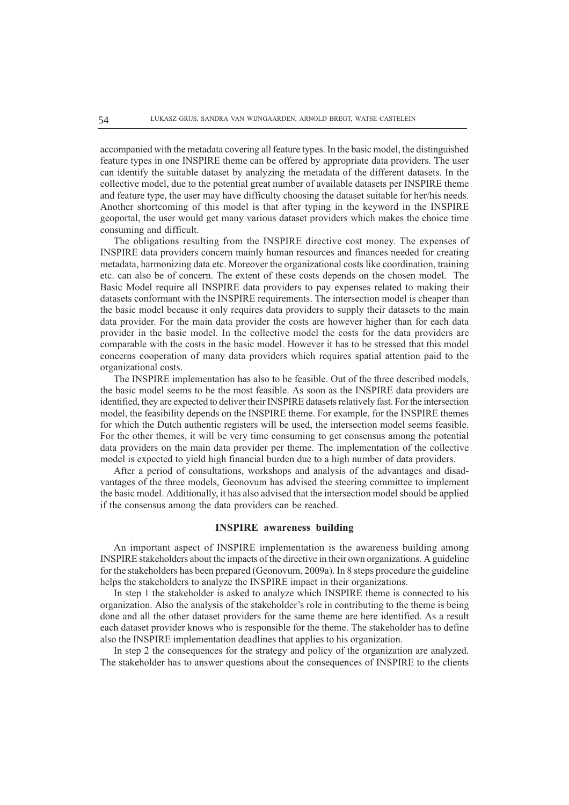accompanied with the metadata covering all feature types. In the basic model, the distinguished feature types in one INSPIRE theme can be offered by appropriate data providers. The user can identify the suitable dataset by analyzing the metadata of the different datasets. In the collective model, due to the potential great number of available datasets per INSPIRE theme and feature type, the user may have difficulty choosing the dataset suitable for her/his needs. Another shortcoming of this model is that after typing in the keyword in the INSPIRE geoportal, the user would get many various dataset providers which makes the choice time consuming and difficult.

The obligations resulting from the INSPIRE directive cost money. The expenses of INSPIRE data providers concern mainly human resources and finances needed for creating metadata, harmonizing data etc. Moreover the organizational costs like coordination, training etc. can also be of concern. The extent of these costs depends on the chosen model. The Basic Model require all INSPIRE data providers to pay expenses related to making their datasets conformant with the INSPIRE requirements. The intersection model is cheaper than the basic model because it only requires data providers to supply their datasets to the main data provider. For the main data provider the costs are however higher than for each data provider in the basic model. In the collective model the costs for the data providers are comparable with the costs in the basic model. However it has to be stressed that this model concerns cooperation of many data providers which requires spatial attention paid to the organizational costs.

The INSPIRE implementation has also to be feasible. Out of the three described models, the basic model seems to be the most feasible. As soon as the INSPIRE data providers are identified, they are expected to deliver their INSPIRE datasets relatively fast. For the intersection model, the feasibility depends on the INSPIRE theme. For example, for the INSPIRE themes for which the Dutch authentic registers will be used, the intersection model seems feasible. For the other themes, it will be very time consuming to get consensus among the potential data providers on the main data provider per theme. The implementation of the collective model is expected to yield high financial burden due to a high number of data providers.

After a period of consultations, workshops and analysis of the advantages and disadvantages of the three models, Geonovum has advised the steering committee to implement the basic model. Additionally, it has also advised that the intersection model should be applied if the consensus among the data providers can be reached.

#### INSPIRE awareness building

An important aspect of INSPIRE implementation is the awareness building among INSPIRE stakeholders about the impacts of the directive in their own organizations. A guideline for the stakeholders has been prepared (Geonovum, 2009a). In 8 steps procedure the guideline helps the stakeholders to analyze the INSPIRE impact in their organizations.

In step 1 the stakeholder is asked to analyze which INSPIRE theme is connected to his organization. Also the analysis of the stakeholder's role in contributing to the theme is being done and all the other dataset providers for the same theme are here identified. As a result each dataset provider knows who is responsible for the theme. The stakeholder has to define also the INSPIRE implementation deadlines that applies to his organization.

In step 2 the consequences for the strategy and policy of the organization are analyzed. The stakeholder has to answer questions about the consequences of INSPIRE to the clients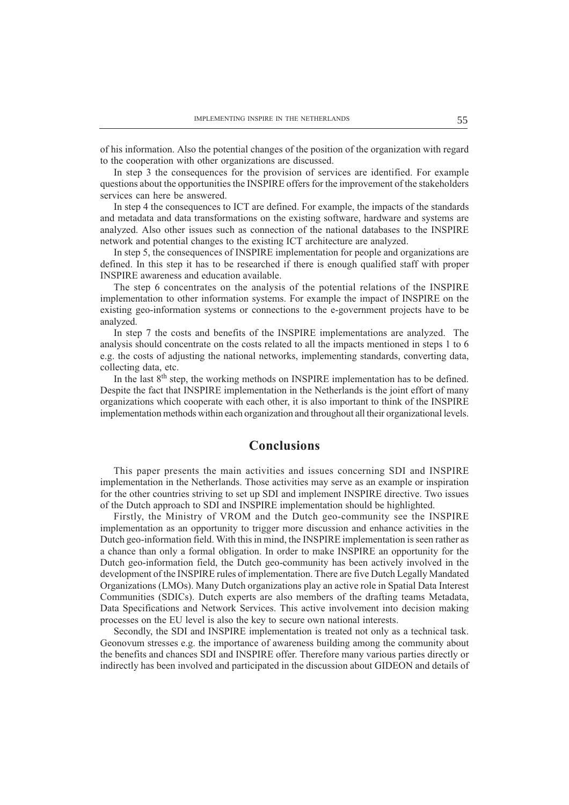of his information. Also the potential changes of the position of the organization with regard to the cooperation with other organizations are discussed.

In step 3 the consequences for the provision of services are identified. For example questions about the opportunities the INSPIRE offers for the improvement of the stakeholders services can here be answered.

In step 4 the consequences to ICT are defined. For example, the impacts of the standards and metadata and data transformations on the existing software, hardware and systems are analyzed. Also other issues such as connection of the national databases to the INSPIRE network and potential changes to the existing ICT architecture are analyzed.

In step 5, the consequences of INSPIRE implementation for people and organizations are defined. In this step it has to be researched if there is enough qualified staff with proper INSPIRE awareness and education available.

The step 6 concentrates on the analysis of the potential relations of the INSPIRE implementation to other information systems. For example the impact of INSPIRE on the existing geo-information systems or connections to the e-government projects have to be analyzed.

In step 7 the costs and benefits of the INSPIRE implementations are analyzed. The analysis should concentrate on the costs related to all the impacts mentioned in steps 1 to 6 e.g. the costs of adjusting the national networks, implementing standards, converting data, collecting data, etc.

In the last 8<sup>th</sup> step, the working methods on INSPIRE implementation has to be defined. Despite the fact that INSPIRE implementation in the Netherlands is the joint effort of many organizations which cooperate with each other, it is also important to think of the INSPIRE implementation methods within each organization and throughout all their organizational levels.

### Conclusions

This paper presents the main activities and issues concerning SDI and INSPIRE implementation in the Netherlands. Those activities may serve as an example or inspiration for the other countries striving to set up SDI and implement INSPIRE directive. Two issues of the Dutch approach to SDI and INSPIRE implementation should be highlighted.

Firstly, the Ministry of VROM and the Dutch geo-community see the INSPIRE implementation as an opportunity to trigger more discussion and enhance activities in the Dutch geo-information field. With this in mind, the INSPIRE implementation is seen rather as a chance than only a formal obligation. In order to make INSPIRE an opportunity for the Dutch geo-information field, the Dutch geo-community has been actively involved in the development of the INSPIRE rules of implementation. There are five Dutch Legally Mandated Organizations (LMOs). Many Dutch organizations play an active role in Spatial Data Interest Communities (SDICs). Dutch experts are also members of the drafting teams Metadata, Data Specifications and Network Services. This active involvement into decision making processes on the EU level is also the key to secure own national interests.

Secondly, the SDI and INSPIRE implementation is treated not only as a technical task. Geonovum stresses e.g. the importance of awareness building among the community about the benefits and chances SDI and INSPIRE offer. Therefore many various parties directly or indirectly has been involved and participated in the discussion about GIDEON and details of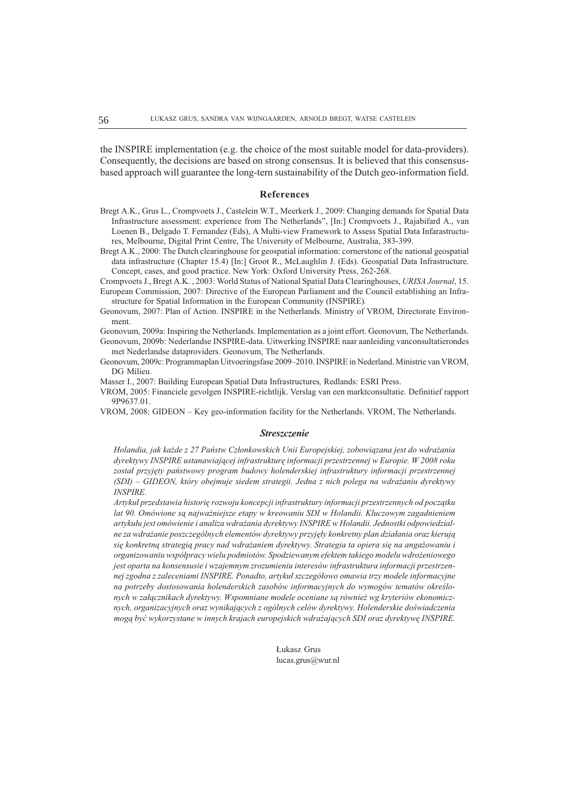the INSPIRE implementation (e.g. the choice of the most suitable model for data-providers). Consequently, the decisions are based on strong consensus. It is believed that this consensusbased approach will guarantee the long-tern sustainability of the Dutch geo-information field.

#### References

- Bregt A.K., Grus L., Crompvoets J., Castelein W.T., Meerkerk J., 2009: Changing demands for Spatial Data Infrastructure assessment: experience from The Netherlands", [In:] Crompvoets J., Rajabifard A., van Loenen B., Delgado T. Fernandez (Eds), A Multi-view Framework to Assess Spatial Data Infarastructures, Melbourne, Digital Print Centre, The University of Melbourne, Australia, 383-399.
- Bregt A.K., 2000: The Dutch clearinghouse for geospatial information: cornerstone of the national geospatial data infrastructure (Chapter 15.4) [In:] Groot R., McLaughlin J. (Eds). Geospatial Data Infrastructure. Concept, cases, and good practice. New York: Oxford University Press, 262-268.
- Crompvoets J., Bregt A.K. , 2003: World Status of National Spatial Data Clearinghouses, URISA Journal, 15. European Commission, 2007: Directive of the European Parliament and the Council establishing an Infrastructure for Spatial Information in the European Community (INSPIRE).
- Geonovum, 2007: Plan of Action. INSPIRE in the Netherlands. Ministry of VROM, Directorate Environment.
- Geonovum, 2009a: Inspiring the Netherlands. Implementation as a joint effort. Geonovum, The Netherlands. Geonovum, 2009b: Nederlandse INSPIRE-data. Uitwerking INSPIRE naar aanleiding vanconsultatierondes met Nederlandse dataproviders. Geonovum, The Netherlands.
- Geonovum, 2009c: Programmaplan Uitvoeringsfase 2009-2010. INSPIRE in Nederland. Ministrie van VROM, DG Milieu.
- Masser I., 2007: Building European Spatial Data Infrastructures, Redlands: ESRI Press.
- VROM, 2005: Financiele gevolgen INSPIRE-richtlijk. Verslag van een marktconsultatie. Definitief rapport 9P9637.01.
- VROM, 2008: GIDEON Key geo-information facility for the Netherlands. VROM, The Netherlands.

#### **Streszczenie**

Holandia, jak każde z 27 Państw Członkowskich Unii Europejskiej, zobowiązana jest do wdrażania dyrektywy INSPIRE ustanawiającej infrastrukturę informacji przestrzennej w Europie. W 2008 roku został przyjęty państwowy program budowy holenderskiej infrastruktury informacji przestrzennej (SDI) GIDEON, który obejmuje siedem strategii. Jedna z nich polega na wdra¿aniu dyrektywy INSPIRE.

Artykuł przedstawia historię rozwoju koncepcji infrastruktury informacji przestrzennych od początku lat 90. Omówione są najważniejsze etapy w kreowaniu SDI w Holandii. Kluczowym zagadnieniem artykułu jest omówienie i analiza wdrażania dyrektywy INSPIRE w Holandii. Jednostki odpowiedzialne za wdrażanie poszczególnych elementów dyrektywy przyjęły konkretny plan działania oraz kierują się konkretną strategią pracy nad wdrażaniem dyrektywy. Strategia ta opiera się na angażowaniu i organizowaniu współpracy wielu podmiotów. Spodziewanym efektem takiego modelu wdrożeniowego jest oparta na konsensusie i wzajemnym zrozumieniu interesów infrastruktura informacji przestrzennej zgodna z zaleceniami INSPIRE. Ponadto, artykuł szczegółowo omawia trzy modele informacyjne na potrzeby dostosowania holenderskich zasobów informacyjnych do wymogów tematów określonych w załącznikach dyrektywy. Wspomniane modele oceniane są również wg kryteriów ekonomicznych, organizacyjnych oraz wynikających z ogólnych celów dyrektywy. Holenderskie doświadczenia mogą być wykorzystane w innych krajach europejskich wdrażających SDI oraz dyrektywę INSPIRE.

> £ukasz Grus lucas.grus@wur.nl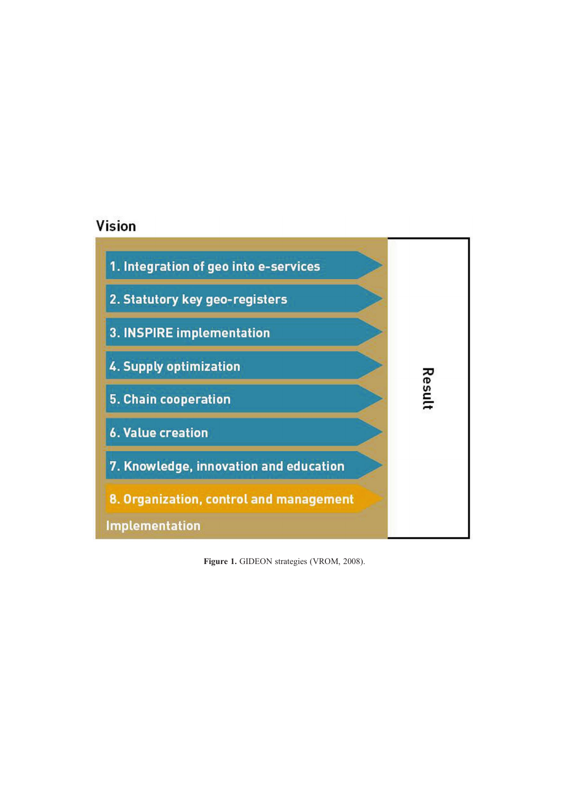# Vision

![](_page_10_Figure_1.jpeg)

Figure 1. GIDEON strategies (VROM, 2008).